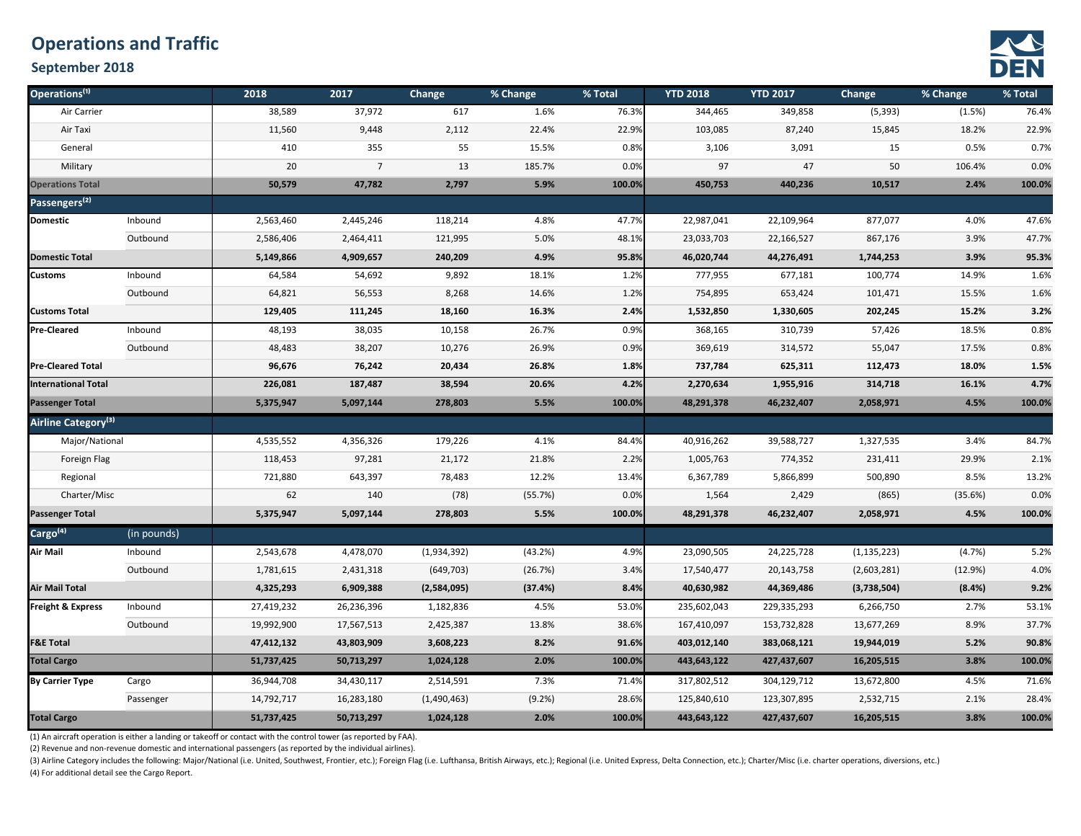## **Operations and Traffic**

#### **September 2018**



| Operations <sup>(1)</sup>       |             | 2018       | 2017           | Change      | % Change | % Total | <b>YTD 2018</b> | <b>YTD 2017</b> | Change        | % Change | % Total |
|---------------------------------|-------------|------------|----------------|-------------|----------|---------|-----------------|-----------------|---------------|----------|---------|
| Air Carrier                     |             | 38,589     | 37,972         | 617         | 1.6%     | 76.3%   | 344,465         | 349,858         | (5, 393)      | (1.5%)   | 76.4%   |
| Air Taxi                        |             | 11,560     | 9,448          | 2,112       | 22.4%    | 22.9%   | 103,085         | 87,240          | 15,845        | 18.2%    | 22.9%   |
| General                         |             | 410        | 355            | 55          | 15.5%    | 0.8%    | 3,106           | 3,091           | 15            | 0.5%     | 0.7%    |
| Military                        |             | 20         | $\overline{7}$ | 13          | 185.7%   | 0.0%    | 97              | 47              | 50            | 106.4%   | 0.0%    |
| <b>Operations Total</b>         |             | 50,579     | 47,782         | 2,797       | 5.9%     | 100.0%  | 450,753         | 440,236         | 10,517        | 2.4%     | 100.0%  |
| Passengers <sup>(2)</sup>       |             |            |                |             |          |         |                 |                 |               |          |         |
| <b>Domestic</b>                 | Inbound     | 2,563,460  | 2,445,246      | 118,214     | 4.8%     | 47.7%   | 22,987,041      | 22,109,964      | 877,077       | 4.0%     | 47.6%   |
|                                 | Outbound    | 2,586,406  | 2,464,411      | 121,995     | 5.0%     | 48.1%   | 23,033,703      | 22,166,527      | 867,176       | 3.9%     | 47.7%   |
| <b>Domestic Total</b>           |             | 5,149,866  | 4,909,657      | 240,209     | 4.9%     | 95.8%   | 46,020,744      | 44,276,491      | 1,744,253     | 3.9%     | 95.3%   |
| <b>Customs</b>                  | Inbound     | 64,584     | 54,692         | 9,892       | 18.1%    | 1.2%    | 777,955         | 677,181         | 100,774       | 14.9%    | 1.6%    |
|                                 | Outbound    | 64,821     | 56,553         | 8,268       | 14.6%    | 1.2%    | 754,895         | 653,424         | 101,471       | 15.5%    | 1.6%    |
| <b>Customs Total</b>            |             | 129,405    | 111,245        | 18,160      | 16.3%    | 2.4%    | 1,532,850       | 1,330,605       | 202,245       | 15.2%    | 3.2%    |
| <b>Pre-Cleared</b>              | Inbound     | 48,193     | 38,035         | 10,158      | 26.7%    | 0.9%    | 368,165         | 310,739         | 57,426        | 18.5%    | 0.8%    |
|                                 | Outbound    | 48,483     | 38,207         | 10,276      | 26.9%    | 0.9%    | 369,619         | 314,572         | 55,047        | 17.5%    | 0.8%    |
| <b>Pre-Cleared Total</b>        |             | 96,676     | 76,242         | 20,434      | 26.8%    | 1.8%    | 737,784         | 625,311         | 112,473       | 18.0%    | 1.5%    |
| <b>International Total</b>      |             | 226,081    | 187,487        | 38,594      | 20.6%    | 4.2%    | 2,270,634       | 1,955,916       | 314,718       | 16.1%    | 4.7%    |
| <b>Passenger Total</b>          |             | 5,375,947  | 5,097,144      | 278,803     | 5.5%     | 100.0%  | 48,291,378      | 46,232,407      | 2,058,971     | 4.5%     | 100.0%  |
| Airline Category <sup>(3)</sup> |             |            |                |             |          |         |                 |                 |               |          |         |
| Major/National                  |             | 4,535,552  | 4,356,326      | 179,226     | 4.1%     | 84.4%   | 40,916,262      | 39,588,727      | 1,327,535     | 3.4%     | 84.7%   |
| Foreign Flag                    |             | 118,453    | 97,281         | 21,172      | 21.8%    | 2.2%    | 1,005,763       | 774,352         | 231,411       | 29.9%    | 2.1%    |
| Regional                        |             | 721,880    | 643,397        | 78,483      | 12.2%    | 13.4%   | 6,367,789       | 5,866,899       | 500,890       | 8.5%     | 13.2%   |
| Charter/Misc                    |             | 62         | 140            | (78)        | (55.7%)  | 0.0%    | 1,564           | 2,429           | (865)         | (35.6%)  | 0.0%    |
| <b>Passenger Total</b>          |             | 5,375,947  | 5,097,144      | 278,803     | 5.5%     | 100.0%  | 48,291,378      | 46,232,407      | 2,058,971     | 4.5%     | 100.0%  |
| Cargo <sup>(4)</sup>            | (in pounds) |            |                |             |          |         |                 |                 |               |          |         |
| Air Mail                        | Inbound     | 2,543,678  | 4,478,070      | (1,934,392) | (43.2%)  | 4.9%    | 23,090,505      | 24,225,728      | (1, 135, 223) | (4.7%)   | 5.2%    |
|                                 | Outbound    | 1,781,615  | 2,431,318      | (649, 703)  | (26.7%)  | 3.4%    | 17,540,477      | 20,143,758      | (2,603,281)   | (12.9%)  | 4.0%    |
| <b>Air Mail Total</b>           |             | 4,325,293  | 6,909,388      | (2,584,095) | (37.4%)  | 8.4%    | 40,630,982      | 44,369,486      | (3,738,504)   | (8.4%)   | 9.2%    |
| <b>Freight &amp; Express</b>    | Inbound     | 27,419,232 | 26,236,396     | 1,182,836   | 4.5%     | 53.0%   | 235,602,043     | 229,335,293     | 6,266,750     | 2.7%     | 53.1%   |
|                                 | Outbound    | 19,992,900 | 17,567,513     | 2,425,387   | 13.8%    | 38.6%   | 167,410,097     | 153,732,828     | 13,677,269    | 8.9%     | 37.7%   |
| <b>F&amp;E Total</b>            |             | 47,412,132 | 43,803,909     | 3,608,223   | 8.2%     | 91.6%   | 403,012,140     | 383,068,121     | 19,944,019    | 5.2%     | 90.8%   |
| <b>Total Cargo</b>              |             | 51,737,425 | 50,713,297     | 1,024,128   | 2.0%     | 100.0%  | 443,643,122     | 427,437,607     | 16,205,515    | 3.8%     | 100.0%  |
| <b>By Carrier Type</b>          | Cargo       | 36,944,708 | 34,430,117     | 2,514,591   | 7.3%     | 71.4%   | 317,802,512     | 304,129,712     | 13,672,800    | 4.5%     | 71.6%   |
|                                 | Passenger   | 14,792,717 | 16,283,180     | (1,490,463) | (9.2%)   | 28.6%   | 125,840,610     | 123,307,895     | 2,532,715     | 2.1%     | 28.4%   |
| <b>Total Cargo</b>              |             | 51,737,425 | 50,713,297     | 1,024,128   | 2.0%     | 100.0%  | 443,643,122     | 427,437,607     | 16,205,515    | 3.8%     | 100.0%  |

(1) An aircraft operation is either a landing or takeoff or contact with the control tower (as reported by FAA).

(2) Revenue and non-revenue domestic and international passengers (as reported by the individual airlines).

(3) Airline Category includes the following: Major/National (i.e. United, Southwest, Frontier, etc.); Foreign Flag (i.e. Lufthansa, British Airways, etc.); Regional (i.e. United Express, Delta Connection, etc.); Charter/Mi (4) For additional detail see the Cargo Report.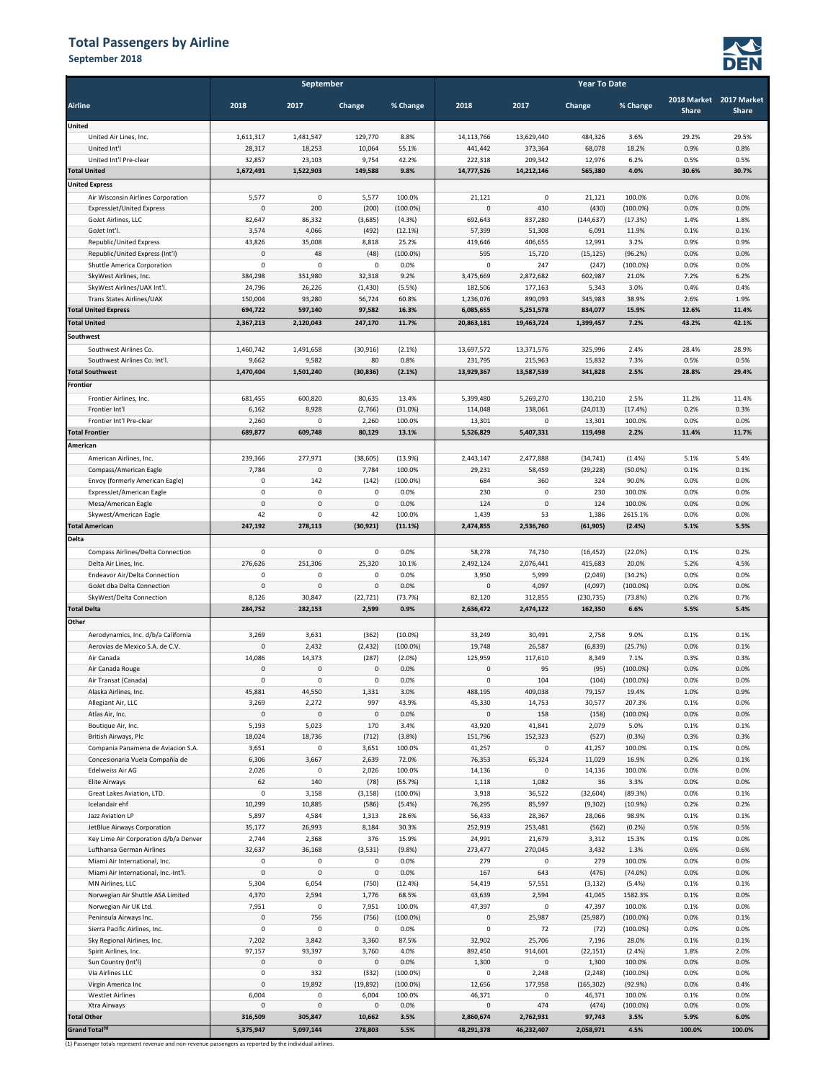#### **Total Passengers by Airline**

**September 2018 o**



|                                                            | September               |                       |                     |                        | <b>Year To Date</b>    |                      |                   |                     |              |                         |  |  |
|------------------------------------------------------------|-------------------------|-----------------------|---------------------|------------------------|------------------------|----------------------|-------------------|---------------------|--------------|-------------------------|--|--|
| <b>Airline</b>                                             | 2018                    | 2017                  | Change              | % Change               | 2018                   | 2017                 | Change            | % Change            |              | 2018 Market 2017 Market |  |  |
|                                                            |                         |                       |                     |                        |                        |                      |                   |                     | <b>Share</b> | <b>Share</b>            |  |  |
| <b>United</b>                                              |                         |                       |                     |                        |                        |                      |                   |                     |              |                         |  |  |
| United Air Lines, Inc.                                     | 1,611,317               | 1,481,547             | 129,770             | 8.8%                   | 14,113,766             | 13,629,440           | 484,326           | 3.6%                | 29.2%        | 29.5%                   |  |  |
| United Int'l<br>United Int'l Pre-clear                     | 28,317<br>32,857        | 18,253<br>23,103      | 10,064<br>9,754     | 55.1%<br>42.2%         | 441,442<br>222,318     | 373,364<br>209,342   | 68,078<br>12,976  | 18.2%<br>6.2%       | 0.9%<br>0.5% | 0.8%<br>0.5%            |  |  |
| <b>Total United</b>                                        | 1,672,491               | 1,522,903             | 149,588             | 9.8%                   | 14,777,526             | 14,212,146           | 565,380           | 4.0%                | 30.6%        | 30.7%                   |  |  |
| <b>United Express</b>                                      |                         |                       |                     |                        |                        |                      |                   |                     |              |                         |  |  |
| Air Wisconsin Airlines Corporation                         | 5,577                   | $\mathbf 0$           | 5,577               | 100.0%                 | 21,121                 | $\mathsf 0$          | 21,121            | 100.0%              | 0.0%         | 0.0%                    |  |  |
| ExpressJet/United Express                                  | $\overline{0}$          | 200                   | (200)               | $(100.0\%)$            | 0                      | 430                  | (430)             | $(100.0\%)$         | 0.0%         | 0.0%                    |  |  |
| GoJet Airlines, LLC                                        | 82,647                  | 86,332                | (3,685)             | (4.3%)                 | 692,643                | 837,280              | (144, 637)        | (17.3%)             | 1.4%         | 1.8%                    |  |  |
| GoJet Int'l.                                               | 3,574                   | 4,066                 | (492)               | (12.1%)                | 57,399                 | 51,308               | 6,091             | 11.9%               | 0.1%         | 0.1%                    |  |  |
| Republic/United Express                                    | 43,826                  | 35,008                | 8,818               | 25.2%                  | 419,646                | 406,655              | 12,991            | 3.2%                | 0.9%         | 0.9%                    |  |  |
| Republic/United Express (Int'l)                            | $\overline{0}$          | 48                    | (48)                | $(100.0\%)$            | 595                    | 15,720               | (15, 125)         | (96.2%)             | 0.0%         | 0.0%                    |  |  |
| Shuttle America Corporation                                | $\pmb{0}$               | $\circ$               | 0                   | 0.0%                   | 0                      | 247                  | (247)             | $(100.0\%)$         | 0.0%         | 0.0%                    |  |  |
| SkyWest Airlines, Inc.                                     | 384,298                 | 351,980               | 32,318              | 9.2%                   | 3,475,669              | 2,872,682            | 602,987           | 21.0%               | 7.2%         | 6.2%                    |  |  |
| SkyWest Airlines/UAX Int'l.                                | 24,796                  | 26,226                | (1, 430)            | (5.5%)                 | 182,506                | 177,163              | 5,343             | 3.0%                | 0.4%         | 0.4%                    |  |  |
| Trans States Airlines/UAX                                  | 150,004                 | 93,280                | 56,724              | 60.8%                  | 1,236,076              | 890,093              | 345,983           | 38.9%               | 2.6%         | 1.9%                    |  |  |
| <b>Total United Express</b>                                | 694,722                 | 597,140               | 97,582              | 16.3%                  | 6,085,655              | 5,251,578            | 834,077           | 15.9%               | 12.6%        | 11.4%                   |  |  |
| <b>Total United</b>                                        | 2,367,213               | 2,120,043             | 247,170             | 11.7%                  | 20,863,181             | 19,463,724           | 1,399,457         | 7.2%                | 43.2%        | 42.1%                   |  |  |
| Southwest                                                  |                         |                       |                     |                        |                        |                      |                   |                     |              |                         |  |  |
| Southwest Airlines Co.                                     | 1,460,742               | 1,491,658             | (30, 916)           | (2.1%)                 | 13,697,572             | 13,371,576           | 325,996           | 2.4%                | 28.4%        | 28.9%                   |  |  |
| Southwest Airlines Co. Int'l.                              | 9,662                   | 9,582                 | 80                  | 0.8%                   | 231,795                | 215,963              | 15,832            | 7.3%                | 0.5%         | 0.5%                    |  |  |
| <b>Total Southwest</b>                                     | 1,470,404               | 1,501,240             | (30, 836)           | (2.1%)                 | 13,929,367             | 13,587,539           | 341,828           | 2.5%                | 28.8%        | 29.4%                   |  |  |
| <b>Frontier</b>                                            |                         |                       |                     |                        |                        |                      |                   |                     |              |                         |  |  |
| Frontier Airlines, Inc.                                    | 681,455                 | 600,820               | 80,635              | 13.4%                  | 5,399,480              | 5,269,270            | 130,210           | 2.5%                | 11.2%        | 11.4%                   |  |  |
| Frontier Int'l<br>Frontier Int'l Pre-clear                 | 6,162                   | 8,928<br>$\mathbf 0$  | (2,766)             | (31.0%)                | 114,048                | 138,061<br>0         | (24, 013)         | (17.4%)<br>100.0%   | 0.2%<br>0.0% | 0.3%<br>0.0%            |  |  |
| <b>Total Frontier</b>                                      | 2,260<br>689,877        | 609,748               | 2,260<br>80,129     | 100.0%<br>13.1%        | 13,301<br>5,526,829    | 5,407,331            | 13,301<br>119,498 | 2.2%                | 11.4%        | 11.7%                   |  |  |
| American                                                   |                         |                       |                     |                        |                        |                      |                   |                     |              |                         |  |  |
| American Airlines, Inc.                                    | 239,366                 | 277,971               | (38, 605)           | (13.9%)                | 2,443,147              | 2,477,888            | (34, 741)         | (1.4%)              | 5.1%         | 5.4%                    |  |  |
| Compass/American Eagle                                     | 7,784                   | 0                     | 7,784               | 100.0%                 | 29,231                 | 58,459               | (29, 228)         | $(50.0\%)$          | 0.1%         | 0.1%                    |  |  |
| Envoy (formerly American Eagle)                            | $\pmb{0}$               | 142                   | (142)               | $(100.0\%)$            | 684                    | 360                  | 324               | 90.0%               | 0.0%         | 0.0%                    |  |  |
| ExpressJet/American Eagle                                  | $\mathbf 0$             | $\mathsf 0$           | $\pmb{0}$           | 0.0%                   | 230                    | $\mathbf 0$          | 230               | 100.0%              | 0.0%         | 0.0%                    |  |  |
| Mesa/American Eagle                                        | $\mathbf 0$             | $\mathbf 0$           | $\mathbf 0$         | 0.0%                   | 124                    | $\mathbf 0$          | 124               | 100.0%              | 0.0%         | 0.0%                    |  |  |
| Skywest/American Eagle                                     | 42                      | $\mathbf 0$           | 42                  | 100.0%                 | 1,439                  | 53                   | 1,386             | 2615.1%             | 0.0%         | 0.0%                    |  |  |
| <b>Total American</b>                                      | 247,192                 | 278,113               | (30, 921)           | (11.1%)                | 2,474,855              | 2,536,760            | (61, 905)         | (2.4%)              | 5.1%         | 5.5%                    |  |  |
| <b>Delta</b>                                               |                         |                       |                     |                        |                        |                      |                   |                     |              |                         |  |  |
| Compass Airlines/Delta Connection                          | 0                       | 0                     | $\mathsf 0$         | 0.0%                   | 58,278                 | 74,730               | (16, 452)         | (22.0%)             | 0.1%         | 0.2%                    |  |  |
| Delta Air Lines, Inc.                                      | 276,626                 | 251,306               | 25,320              | 10.1%                  | 2,492,124              | 2,076,441            | 415,683           | 20.0%               | 5.2%         | 4.5%                    |  |  |
| Endeavor Air/Delta Connection                              | $\overline{0}$          | $\mathbf 0$           | 0                   | 0.0%                   | 3,950                  | 5,999                | (2,049)           | (34.2%)             | 0.0%         | 0.0%                    |  |  |
| GoJet dba Delta Connection                                 | $\pmb{0}$               | $\circ$               | $\pmb{0}$           | 0.0%                   | 0                      | 4,097                | (4,097)           | $(100.0\%)$         | 0.0%         | 0.0%                    |  |  |
| SkyWest/Delta Connection                                   | 8,126                   | 30,847                | (22, 721)           | (73.7%)                | 82,120                 | 312,855              | (230, 735)        | (73.8%)             | 0.2%         | 0.7%                    |  |  |
| <b>Total Delta</b>                                         | 284,752                 | 282,153               | 2,599               | 0.9%                   | 2,636,472              | 2,474,122            | 162,350           | 6.6%                | 5.5%         | 5.4%                    |  |  |
| Other                                                      |                         |                       |                     |                        |                        |                      |                   |                     |              |                         |  |  |
| Aerodynamics, Inc. d/b/a California                        | 3,269                   | 3,631                 | (362)               | $(10.0\%)$             | 33,249                 | 30,491               | 2,758             | 9.0%                | 0.1%         | 0.1%                    |  |  |
| Aerovias de Mexico S.A. de C.V.<br>Air Canada              | $\mathbf 0$             | 2,432                 | (2, 432)            | $(100.0\%)$            | 19,748                 | 26,587               | (6, 839)          | (25.7%)             | 0.0%         | 0.1%                    |  |  |
| Air Canada Rouge                                           | 14,086<br>$\mathbf 0$   | 14,373<br>$\mathbf 0$ | (287)<br>$\bf 0$    | (2.0%)<br>0.0%         | 125,959<br>$\mathbf 0$ | 117,610<br>95        | 8,349<br>(95)     | 7.1%<br>$(100.0\%)$ | 0.3%<br>0.0% | 0.3%<br>0.0%            |  |  |
| Air Transat (Canada)                                       | $\mathsf{o}$            | $\mathsf{o}\,$        | $\mathsf 0$         | 0.0%                   | 0                      | 104                  | (104)             | $(100.0\%)$         | 0.0%         | 0.0%                    |  |  |
| Alaska Airlines, Inc.                                      | 45,881                  | 44,550                | 1,331               | 3.0%                   | 488,195                | 409,038              | 79,157            | 19.4%               | 1.0%         | 0.9%                    |  |  |
| Allegiant Air, LLC                                         | 3,269                   | 2,272                 | 997                 | 43.9%                  | 45,330                 | 14,753               | 30,577            | 207.3%              | 0.1%         | 0.0%                    |  |  |
| Atlas Air, Inc.                                            | $\pmb{0}$               | $\mathbf 0$           | $\pmb{0}$           | 0.0%                   | 0                      | 158                  | (158)             | $(100.0\%)$         | 0.0%         | 0.0%                    |  |  |
| Boutique Air, Inc.                                         | 5,193                   | 5,023                 | 170                 | 3.4%                   | 43,920                 | 41,841               | 2,079             | 5.0%                | 0.1%         | 0.1%                    |  |  |
| British Airways, Plc                                       | 18,024                  | 18,736                | (712)               | (3.8%)                 | 151,796                | 152,323              | (527)             | (0.3%               | 0.3%         | 0.3%                    |  |  |
| Compania Panamena de Aviacion S.A.                         | 3,651                   | $\mathbf 0$           | 3,651               | 100.0%                 | 41,257                 | 0                    | 41,257            | 100.0%              | 0.1%         | 0.0%                    |  |  |
| Concesionaria Vuela Compañía de                            | 6,306                   | 3,667                 | 2,639               | 72.0%                  | 76,353                 | 65,324               | 11,029            | 16.9%               | 0.2%         | 0.1%                    |  |  |
| Edelweiss Air AG<br>Elite Airways                          | 2,026<br>62             | $\pmb{0}$<br>140      | 2,026               | 100.0%                 | 14,136<br>1,118        | 0                    | 14,136<br>36      | 100.0%<br>3.3%      | 0.0%<br>0.0% | 0.0%<br>0.0%            |  |  |
| Great Lakes Aviation, LTD.                                 | $\mathbf 0$             | 3,158                 | (78)<br>(3, 158)    | (55.7%)<br>$(100.0\%)$ | 3,918                  | 1,082<br>36,522      | (32, 604)         | (89.3%)             | 0.0%         | 0.1%                    |  |  |
| Icelandair ehf                                             | 10,299                  | 10,885                | (586)               | (5.4%)                 | 76,295                 | 85,597               | (9, 302)          | (10.9%)             | 0.2%         | 0.2%                    |  |  |
| Jazz Aviation LP                                           | 5,897                   | 4,584                 | 1,313               | 28.6%                  | 56,433                 | 28,367               | 28,066            | 98.9%               | 0.1%         | 0.1%                    |  |  |
| JetBlue Airways Corporation                                | 35,177                  | 26,993                | 8,184               | 30.3%                  | 252,919                | 253,481              | (562)             | (0.2%               | 0.5%         | 0.5%                    |  |  |
| Key Lime Air Corporation d/b/a Denver                      | 2,744                   | 2,368                 | 376                 | 15.9%                  | 24,991                 | 21,679               | 3,312             | 15.3%               | 0.1%         | 0.0%                    |  |  |
| Lufthansa German Airlines                                  | 32,637                  | 36,168                | (3,531)             | (9.8%)                 | 273,477                | 270,045              | 3,432             | 1.3%                | 0.6%         | 0.6%                    |  |  |
| Miami Air International, Inc.                              | $\pmb{0}$               | $\pmb{0}$             | 0                   | 0.0%                   | 279                    | 0                    | 279               | 100.0%              | 0.0%         | 0.0%                    |  |  |
| Miami Air International, Inc.-Int'l.                       | $\pmb{0}$               | $\pmb{0}$             | $\mathsf 0$         | 0.0%                   | 167                    | 643                  | (476)             | (74.0%)             | 0.0%         | 0.0%                    |  |  |
| MN Airlines, LLC                                           | 5,304                   | 6,054                 | (750)               | (12.4%)                | 54,419                 | 57,551               | (3, 132)          | (5.4%)              | 0.1%         | 0.1%                    |  |  |
| Norwegian Air Shuttle ASA Limited<br>Norwegian Air UK Ltd. | 4,370<br>7,951          | 2,594<br>$\pmb{0}$    | 1,776<br>7,951      | 68.5%<br>100.0%        | 43,639<br>47,397       | 2,594<br>$\mathsf 0$ | 41,045<br>47,397  | 1582.3%<br>100.0%   | 0.1%<br>0.1% | 0.0%<br>0.0%            |  |  |
| Peninsula Airways Inc.                                     | $\pmb{0}$               | 756                   | (756)               | $(100.0\%)$            | 0                      | 25,987               | (25, 987)         | $(100.0\%)$         | 0.0%         | 0.1%                    |  |  |
| Sierra Pacific Airlines, Inc.                              | $\mathbf 0$             | $\mathsf 0$           | $\mathbf 0$         | 0.0%                   | $\pmb{0}$              | 72                   | (72)              | $(100.0\%)$         | 0.0%         | 0.0%                    |  |  |
| Sky Regional Airlines, Inc.                                | 7,202                   | 3,842                 | 3,360               | 87.5%                  | 32,902                 | 25,706               | 7,196             | 28.0%               | 0.1%         | 0.1%                    |  |  |
| Spirit Airlines, Inc.                                      | 97,157                  | 93,397                | 3,760               | 4.0%                   | 892,450                | 914,601              | (22, 151)         | (2.4%)              | 1.8%         | 2.0%                    |  |  |
| Sun Country (Int'l)                                        | $\mathbf 0$             | 0                     | $\mathsf 0$         | 0.0%                   | 1,300                  | 0                    | 1,300             | 100.0%              | 0.0%         | 0.0%                    |  |  |
| Via Airlines LLC                                           | $\pmb{0}$               | 332                   | (332)               | $(100.0\%)$            | 0                      | 2,248                | (2, 248)          | $(100.0\%)$         | 0.0%         | 0.0%                    |  |  |
| Virgin America Inc                                         | $\mathbf 0$             | 19,892                | (19, 892)           | $(100.0\%)$            | 12,656                 | 177,958              | (165, 302)        | (92.9%)             | 0.0%         | 0.4%                    |  |  |
| <b>WestJet Airlines</b>                                    | 6,004<br>$\overline{0}$ | $\pmb{0}$             | 6,004               | 100.0%                 | 46,371<br>0            | 0                    | 46,371            | 100.0%              | 0.1%         | 0.0%                    |  |  |
| Xtra Airways<br><b>Total Other</b>                         | 316,509                 | $\pmb{0}$<br>305,847  | $\pmb{0}$<br>10,662 | 0.0%<br>3.5%           | 2,860,674              | 474<br>2,762,931     | (474)<br>97,743   | $(100.0\%)$<br>3.5% | 0.0%<br>5.9% | 0.0%<br>6.0%            |  |  |
| Grand Total <sup>(1)</sup>                                 | 5,375,947               |                       | 278,803             | 5.5%                   | 48,291,378             | 46,232,407           | 2,058,971         | 4.5%                | 100.0%       | 100.0%                  |  |  |
|                                                            |                         | 5,097,144             |                     |                        |                        |                      |                   |                     |              |                         |  |  |

(1) Passenger totals represent revenue and non-revenue passengers as reported by the individual airlines.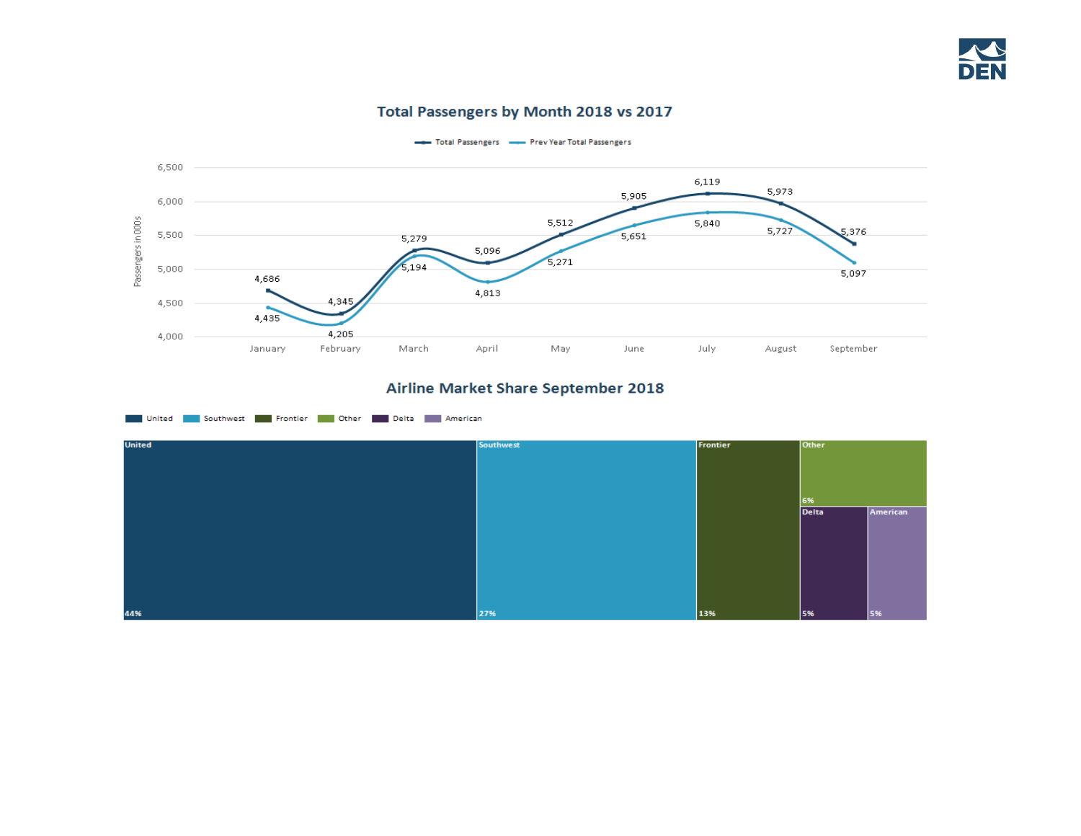#### Total Passengers by Month 2018 vs 2017



Total Passengers - Prev Year Total Passengers

### Airline Market Share September 2018

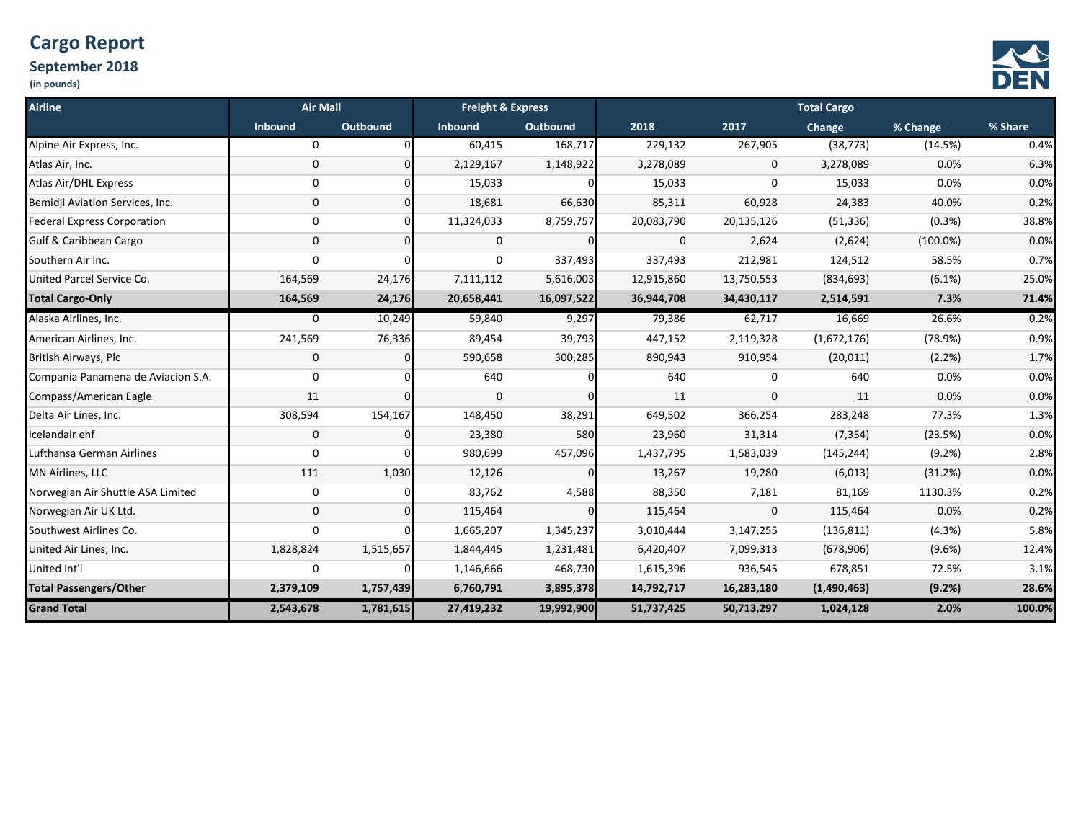# **Cargo Report**

## **September 2018**





| <b>Airline</b>                     | <b>Air Mail</b> |           | <b>Freight &amp; Express</b> |                 | <b>Total Cargo</b> |            |             |             |         |  |
|------------------------------------|-----------------|-----------|------------------------------|-----------------|--------------------|------------|-------------|-------------|---------|--|
|                                    | <b>Inbound</b>  | Outbound  | Inbound                      | <b>Outbound</b> | 2018               | 2017       | Change      | % Change    | % Share |  |
| Alpine Air Express, Inc.           | 0               | $\Omega$  | 60,415                       | 168,717         | 229,132            | 267,905    | (38, 773)   | (14.5%)     | 0.4%    |  |
| Atlas Air, Inc.                    | 0               | n         | 2,129,167                    | 1,148,922       | 3,278,089          | 0          | 3,278,089   | 0.0%        | 6.3%    |  |
| Atlas Air/DHL Express              | 0               | $\Omega$  | 15,033                       | $\Omega$        | 15,033             | 0          | 15,033      | 0.0%        | 0.0%    |  |
| Bemidji Aviation Services, Inc.    | 0               | $\Omega$  | 18,681                       | 66,630          | 85,311             | 60,928     | 24,383      | 40.0%       | 0.2%    |  |
| <b>Federal Express Corporation</b> | 0               | O         | 11,324,033                   | 8,759,757       | 20,083,790         | 20,135,126 | (51, 336)   | (0.3%)      | 38.8%   |  |
| <b>Gulf &amp; Caribbean Cargo</b>  | $\mathbf 0$     | O         | 0                            | $\Omega$        | 0                  | 2,624      | (2,624)     | $(100.0\%)$ | 0.0%    |  |
| Southern Air Inc.                  | 0               | $\Omega$  | $\mathbf 0$                  | 337,493         | 337,493            | 212,981    | 124,512     | 58.5%       | 0.7%    |  |
| United Parcel Service Co.          | 164,569         | 24,176    | 7,111,112                    | 5,616,003       | 12,915,860         | 13,750,553 | (834, 693)  | $(6.1\%)$   | 25.0%   |  |
| <b>Total Cargo-Only</b>            | 164,569         | 24,176    | 20,658,441                   | 16,097,522      | 36,944,708         | 34,430,117 | 2,514,591   | 7.3%        | 71.4%   |  |
| Alaska Airlines, Inc.              | 0               | 10,249    | 59,840                       | 9,297           | 79,386             | 62,717     | 16,669      | 26.6%       | 0.2%    |  |
| American Airlines, Inc.            | 241,569         | 76,336    | 89,454                       | 39,793          | 447,152            | 2,119,328  | (1,672,176) | (78.9%)     | 0.9%    |  |
| British Airways, Plc               | 0               | n         | 590,658                      | 300,285         | 890,943            | 910,954    | (20, 011)   | (2.2%)      | 1.7%    |  |
| Compania Panamena de Aviacion S.A. | 0               |           | 640                          | 0               | 640                | 0          | 640         | 0.0%        | 0.0%    |  |
| Compass/American Eagle             | 11              |           | $\mathbf 0$                  | <sup>0</sup>    | 11                 | 0          | 11          | 0.0%        | 0.0%    |  |
| Delta Air Lines, Inc.              | 308,594         | 154,167   | 148,450                      | 38,291          | 649,502            | 366,254    | 283,248     | 77.3%       | 1.3%    |  |
| Icelandair ehf                     | $\mathbf 0$     | $\Omega$  | 23,380                       | 580             | 23,960             | 31,314     | (7, 354)    | (23.5%)     | 0.0%    |  |
| Lufthansa German Airlines          | 0               |           | 980,699                      | 457,096         | 1,437,795          | 1,583,039  | (145, 244)  | (9.2%)      | 2.8%    |  |
| <b>MN Airlines, LLC</b>            | 111             | 1,030     | 12,126                       | $\Omega$        | 13,267             | 19,280     | (6,013)     | (31.2%)     | 0.0%    |  |
| Norwegian Air Shuttle ASA Limited  | 0               |           | 83,762                       | 4,588           | 88,350             | 7,181      | 81,169      | 1130.3%     | 0.2%    |  |
| Norwegian Air UK Ltd.              | $\mathbf 0$     |           | 115,464                      | $\Omega$        | 115,464            | 0          | 115,464     | 0.0%        | 0.2%    |  |
| Southwest Airlines Co.             | 0               |           | 1,665,207                    | 1,345,237       | 3,010,444          | 3,147,255  | (136, 811)  | (4.3%)      | 5.8%    |  |
| United Air Lines, Inc.             | 1,828,824       | 1,515,657 | 1,844,445                    | 1,231,481       | 6,420,407          | 7,099,313  | (678, 906)  | (9.6%)      | 12.4%   |  |
| United Int'l                       | 0               |           | 1,146,666                    | 468,730         | 1,615,396          | 936,545    | 678,851     | 72.5%       | 3.1%    |  |
| <b>Total Passengers/Other</b>      | 2,379,109       | 1,757,439 | 6,760,791                    | 3,895,378       | 14,792,717         | 16,283,180 | (1,490,463) | (9.2%)      | 28.6%   |  |
| <b>Grand Total</b>                 | 2,543,678       | 1,781,615 | 27,419,232                   | 19,992,900      | 51,737,425         | 50,713,297 | 1,024,128   | 2.0%        | 100.0%  |  |